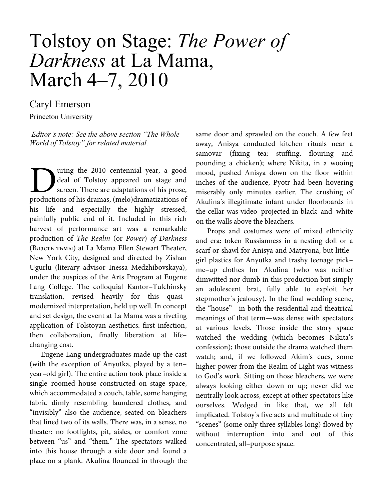## Tolstoy on Stage: *The Power of Darkness* at La Mama, March 4–7, 2010

## Caryl Emerson

Princeton University

*Editor's note: See the above section "The Whole World of Tolstoy" for related material.* 

uring the 2010 centennial year, a good deal of Tolstoy appeared on stage and screen. There are adaptations of his prose, Using the 2010 centennial year, a good deal of Tolstoy appeared on stage and screen. There are adaptations of his prose, productions of his dramas, (melo)dramatizations of his life—and especially the highly stressed, painfully public end of it. Included in this rich harvest of performance art was a remarkable production of The Realm (or Power) of Darkness (Власть тьмы) at La Mama Ellen Stewart Theater, New York City, designed and directed by Zishan Ugurlu (literary advisor Inessa Medzhibovskaya), under the auspices of the Arts Program at Eugene Lang College. The colloquial Kantor–Tulchinsky translation, revised heavily for this quasi– modernized interpretation, held up well. In concept and set design, the event at La Mama was a riveting application of Tolstoyan aesthetics: first infection, then collaboration, finally liberation at life– changing cost.

Eugene Lang undergraduates made up the cast (with the exception of Anyutka, played by a ten– year–old girl). The entire action took place inside a single–roomed house constructed on stage space, which accommodated a couch, table, some hanging fabric dimly resembling laundered clothes, and "invisibly" also the audience, seated on bleachers that lined two of its walls. There was, in a sense, no theater: no footlights, pit, aisles, or comfort zone between "us" and "them." The spectators walked into this house through a side door and found a place on a plank. Akulina flounced in through the same door and sprawled on the couch. A few feet away, Anisya conducted kitchen rituals near a samovar (fixing tea; stuffing, flouring and pounding a chicken); where Nikita, in a wooing mood, pushed Anisya down on the floor within inches of the audience, Pyotr had been hovering miserably only minutes earlier. The crushing of Akulina's illegitimate infant under floorboards in the cellar was video–projected in black–and–white on the walls above the bleachers.

Props and costumes were of mixed ethnicity and era: token Russianness in a nesting doll or a scarf or shawl for Anisya and Matryona, but little– girl plastics for Anyutka and trashy teenage pick– me–up clothes for Akulina (who was neither dimwitted nor dumb in this production but simply an adolescent brat, fully able to exploit her stepmother's jealousy). In the final wedding scene, the "house"—in both the residential and theatrical meanings of that term—was dense with spectators at various levels. Those inside the story space watched the wedding (which becomes Nikita's confession); those outside the drama watched them watch; and, if we followed Akim's cues, some higher power from the Realm of Light was witness to God's work. Sitting on those bleachers, we were always looking either down or up; never did we neutrally look across, except at other spectators like ourselves. Wedged in like that, we all felt implicated. Tolstoy's five acts and multitude of tiny "scenes" (some only three syllables long) flowed by without interruption into and out of this concentrated, all–purpose space.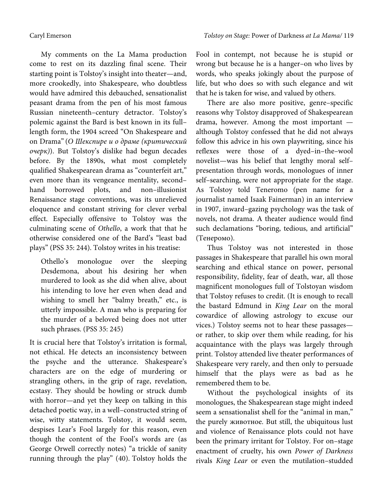My comments on the La Mama production come to rest on its dazzling final scene. Their starting point is Tolstoy's insight into theater—and, more crookedly, into Shakespeare, who doubtless would have admired this debauched, sensationalist peasant drama from the pen of his most famous Russian nineteenth–century detractor. Tolstoy's polemic against the Bard is best known in its full– length form, the 1904 screed "On Shakespeare and on Drama" (О Шекспире и о драме (критический очерк)). But Tolstoy's dislike had begun decades before. By the 1890s, what most completely qualified Shakespearean drama as "counterfeit art," even more than its vengeance mentality, second– hand borrowed plots, and non–illusionist Renaissance stage conventions, was its unrelieved eloquence and constant striving for clever verbal effect. Especially offensive to Tolstoy was the culminating scene of Othello, a work that that he otherwise considered one of the Bard's "least bad plays" (PSS 35: 244). Tolstoy writes in his treatise:

Othello's monologue over the sleeping Desdemona, about his desiring her when murdered to look as she did when alive, about his intending to love her even when dead and wishing to smell her "balmy breath," etc., is utterly impossible. A man who is preparing for the murder of a beloved being does not utter such phrases. (PSS 35: 245)

It is crucial here that Tolstoy's irritation is formal, not ethical. He detects an inconsistency between the psyche and the utterance. Shakespeare's characters are on the edge of murdering or strangling others, in the grip of rage, revelation, ecstasy. They should be howling or struck dumb with horror—and yet they keep on talking in this detached poetic way, in a well–constructed string of wise, witty statements. Tolstoy, it would seem, despises Lear's Fool largely for this reason, even though the content of the Fool's words are (as George Orwell correctly notes) "a trickle of sanity running through the play" (40). Tolstoy holds the

Fool in contempt, not because he is stupid or wrong but because he is a hanger–on who lives by words, who speaks jokingly about the purpose of life, but who does so with such elegance and wit that he is taken for wise, and valued by others.

There are also more positive, genre–specific reasons why Tolstoy disapproved of Shakespearean drama, however. Among the most important although Tolstoy confessed that he did not always follow this advice in his own playwriting, since his reflexes were those of a dyed–in–the–wool novelist—was his belief that lengthy moral self– presentation through words, monologues of inner self–searching, were not appropriate for the stage. As Tolstoy told Teneromo (pen name for a journalist named Isaak Fainerman) in an interview in 1907, inward–gazing psychology was the task of novels, not drama. A theater audience would find such declamations "boring, tedious, and artificial" (Тенеромо).

Thus Tolstoy was not interested in those passages in Shakespeare that parallel his own moral searching and ethical stance on power, personal responsibility, fidelity, fear of death, war, all those magnificent monologues full of Tolstoyan wisdom that Tolstoy refuses to credit. (It is enough to recall the bastard Edmund in King Lear on the moral cowardice of allowing astrology to excuse our vices.) Tolstoy seems not to hear these passages or rather, to skip over them while reading, for his acquaintance with the plays was largely through print. Tolstoy attended live theater performances of Shakespeare very rarely, and then only to persuade himself that the plays were as bad as he remembered them to be.

Without the psychological insights of its monologues, the Shakespearean stage might indeed seem a sensationalist shell for the "animal in man," the purely животное. But still, the ubiquitous lust and violence of Renaissance plots could not have been the primary irritant for Tolstoy. For on–stage enactment of cruelty, his own Power of Darkness rivals King Lear or even the mutilation–studded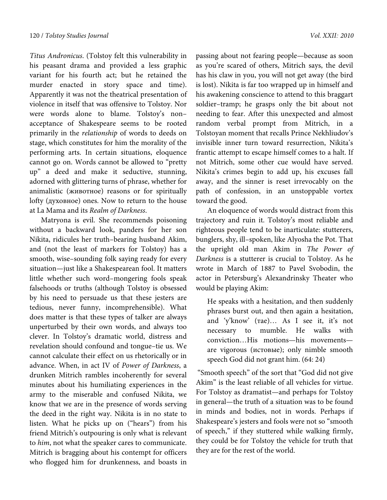Titus Andronicus. (Tolstoy felt this vulnerability in his peasant drama and provided a less graphic variant for his fourth act; but he retained the murder enacted in story space and time). Apparently it was not the theatrical presentation of violence in itself that was offensive to Tolstoy. Nor were words alone to blame. Tolstoy's non– acceptance of Shakespeare seems to be rooted primarily in the relationship of words to deeds on stage, which constitutes for him the morality of the performing arts. In certain situations, eloquence cannot go on. Words cannot be allowed to "pretty up" a deed and make it seductive, stunning, adorned with glittering turns of phrase, whether for animalistic (животное) reasons or for spiritually lofty (духовное) ones. Now to return to the house at La Mama and its Realm of Darkness.

Matryona is evil. She recommends poisoning without a backward look, panders for her son Nikita, ridicules her truth–bearing husband Akim, and (not the least of markers for Tolstoy) has a smooth, wise–sounding folk saying ready for every situation—just like a Shakespearean fool. It matters little whether such word–mongering fools speak falsehoods or truths (although Tolstoy is obsessed by his need to persuade us that these jesters are tedious, never funny, incomprehensible). What does matter is that these types of talker are always unperturbed by their own words, and always too clever. In Tolstoy's dramatic world, distress and revelation should confound and tongue–tie us. We cannot calculate their effect on us rhetorically or in advance. When, in аct IV of Power of Darkness, a drunken Mitrich rambles incoherently for several minutes about his humiliating experiences in the army to the miserable and confused Nikita, we know that we are in the presence of words serving the deed in the right way. Nikita is in no state to listen. What he picks up on ("hears") from his friend Mitrich's outpouring is only what is relevant to him, not what the speaker cares to communicate. Mitrich is bragging about his contempt for officers who flogged him for drunkenness, and boasts in

passing about not fearing people—because as soon as you're scared of others, Mitrich says, the devil has his claw in you, you will not get away (the bird is lost). Nikita is far too wrapped up in himself and his awakening conscience to attend to this braggart soldier–tramp; he grasps only the bit about not needing to fear. After this unexpected and almost random verbal prompt from Mitrich, in a Tolstoyan moment that recalls Prince Nekhliudov's invisible inner turn toward resurrection, Nikita's frantic attempt to escape himself comes to a halt. If not Mitrich, some other cue would have served. Nikita's crimes begin to add up, his excuses fall away, and the sinner is reset irrevocably on the path of confession, in an unstoppable vortex toward the good.

An eloquence of words would distract from this trajectory and ruin it. Tolstoy's most reliable and righteous people tend to be inarticulate: stutterers, bunglers, shy, ill–spoken, like Alyosha the Pot. That the upright old man Akim in The Power of Darkness is a stutterer is crucial to Tolstoy. As he wrote in March of 1887 to Pavel Svobodin, the actor in Petersburg's Alexandrinsky Theater who would be playing Akim:

He speaks with a hesitation, and then suddenly phrases burst out, and then again a hesitation, and 'y'know' (rae)... As I see it, it's not necessary to mumble. He walks with conviction…His motions—his movements are vigorous (истовые); only nimble smooth speech God did not grant him. (64: 24)

 "Smooth speech" of the sort that "God did not give Akim" is the least reliable of all vehicles for virtue. For Tolstoy as dramatist—and perhaps for Tolstoy in general—the truth of a situation was to be found in minds and bodies, not in words. Perhaps if Shakespeare's jesters and fools were not so "smooth of speech," if they stuttered while walking firmly, they could be for Tolstoy the vehicle for truth that they are for the rest of the world.